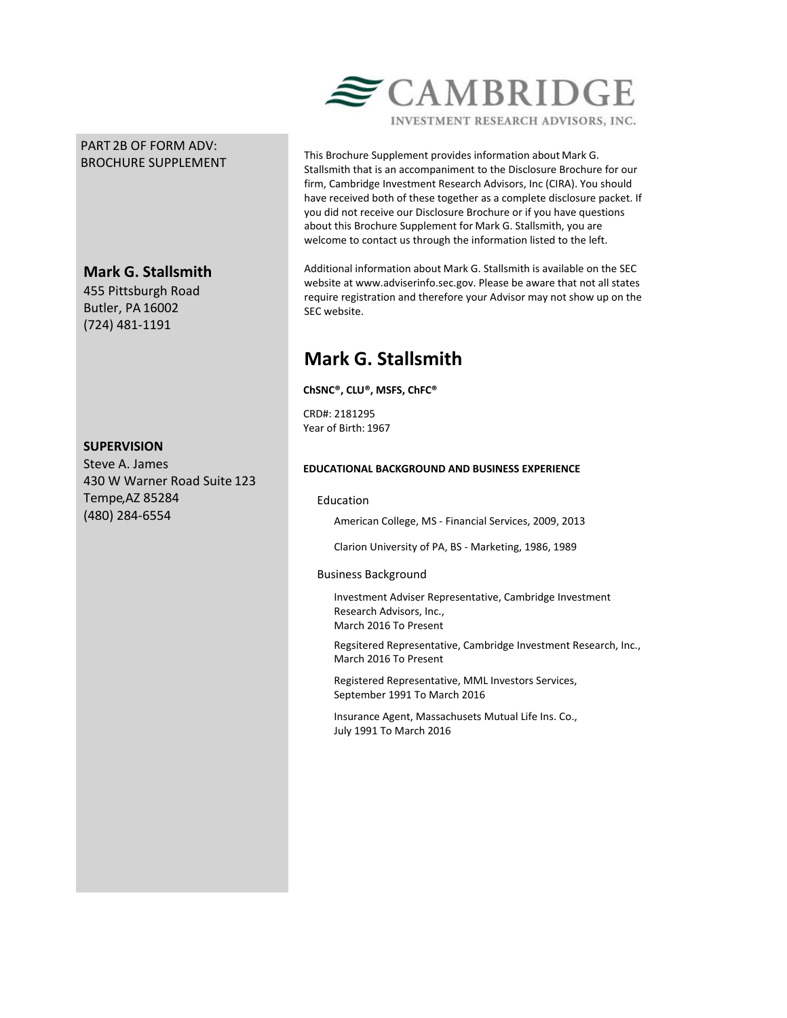## PART 2B OF FORM ADV: BROCHURE SUPPLEMENT

# **Mark G. Stallsmith**

455 Pittsburgh Road Butler, PA 16002 (724) 481-1191

## **SUPERVISION**

Steve A. James 430 W Warner Road Suite 123 Tempe,AZ 85284 (480) 284-6554



This Brochure Supplement provides information about Mark G. Stallsmith that is an accompaniment to the Disclosure Brochure for our firm, Cambridge Investment Research Advisors, Inc (CIRA). You should have received both of these together as a complete disclosure packet. If you did not receive our Disclosure Brochure or if you have questions about this Brochure Supplement for Mark G. Stallsmith, you are welcome to contact us through the information listed to the left.

Additional information about Mark G. Stallsmith is available on the SEC website at www.adviserinfo.sec.gov. Please be aware that not all states require registration and therefore your Advisor may not show up on the SEC website.

# **Mark G. Stallsmith**

**ChSNC®, CLU®, MSFS, ChFC®**

CRD#: 2181295 Year of Birth: 1967

## **EDUCATIONAL BACKGROUND AND BUSINESS EXPERIENCE**

## Education

American College, MS - Financial Services, 2009, 2013

Clarion University of PA, BS - Marketing, 1986, 1989

## Business Background

Investment Adviser Representative, Cambridge Investment Research Advisors, Inc., March 2016 To Present

Regsitered Representative, Cambridge Investment Research, Inc., March 2016 To Present

Registered Representative, MML Investors Services, September 1991 To March 2016

Insurance Agent, Massachusets Mutual Life Ins. Co., July 1991 To March 2016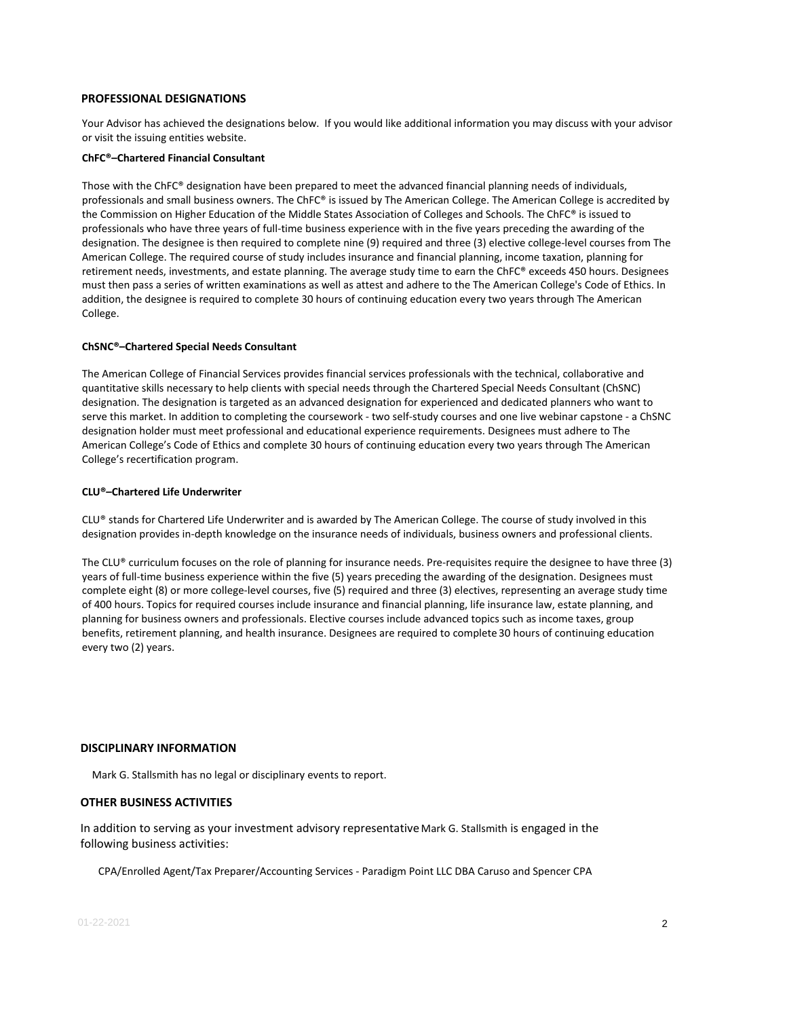#### **PROFESSIONAL DESIGNATIONS**

Your Advisor has achieved the designations below. If you would like additional information you may discuss with your advisor or visit the issuing entities website.

#### **ChFC®–Chartered Financial Consultant**

Those with the ChFC® designation have been prepared to meet the advanced financial planning needs of individuals, professionals and small business owners. The ChFC® is issued by The American College. The American College is accredited by the Commission on Higher Education of the Middle States Association of Colleges and Schools. The ChFC® is issued to professionals who have three years of full-time business experience with in the five years preceding the awarding of the designation. The designee is then required to complete nine (9) required and three (3) elective college-level courses from The American College. The required course of study includes insurance and financial planning, income taxation, planning for retirement needs, investments, and estate planning. The average study time to earn the ChFC® exceeds 450 hours. Designees must then pass a series of written examinations as well as attest and adhere to the The American College's Code of Ethics. In addition, the designee is required to complete 30 hours of continuing education every two years through The American College.

#### **ChSNC®–Chartered Special Needs Consultant**

The American College of Financial Services provides financial services professionals with the technical, collaborative and quantitative skills necessary to help clients with special needs through the Chartered Special Needs Consultant (ChSNC) designation. The designation is targeted as an advanced designation for experienced and dedicated planners who want to serve this market. In addition to completing the coursework - two self-study courses and one live webinar capstone - a ChSNC designation holder must meet professional and educational experience requirements. Designees must adhere to The American College's Code of Ethics and complete 30 hours of continuing education every two years through The American College's recertification program.

#### **CLU®–Chartered Life Underwriter**

CLU® stands for Chartered Life Underwriter and is awarded by The American College. The course of study involved in this designation provides in-depth knowledge on the insurance needs of individuals, business owners and professional clients.

The CLU® curriculum focuses on the role of planning for insurance needs. Pre-requisites require the designee to have three (3) years of full-time business experience within the five (5) years preceding the awarding of the designation. Designees must complete eight (8) or more college-level courses, five (5) required and three (3) electives, representing an average study time of 400 hours. Topics for required courses include insurance and financial planning, life insurance law, estate planning, and planning for business owners and professionals. Elective courses include advanced topics such as income taxes, group benefits, retirement planning, and health insurance. Designees are required to complete 30 hours of continuing education every two (2) years.

#### **DISCIPLINARY INFORMATION**

Mark G. Stallsmith has no legal or disciplinary events to report.

#### **OTHER BUSINESS ACTIVITIES**

In addition to serving as your investment advisory representative Mark G. Stallsmith is engaged in the following business activities:

CPA/Enrolled Agent/Tax Preparer/Accounting Services - Paradigm Point LLC DBA Caruso and Spencer CPA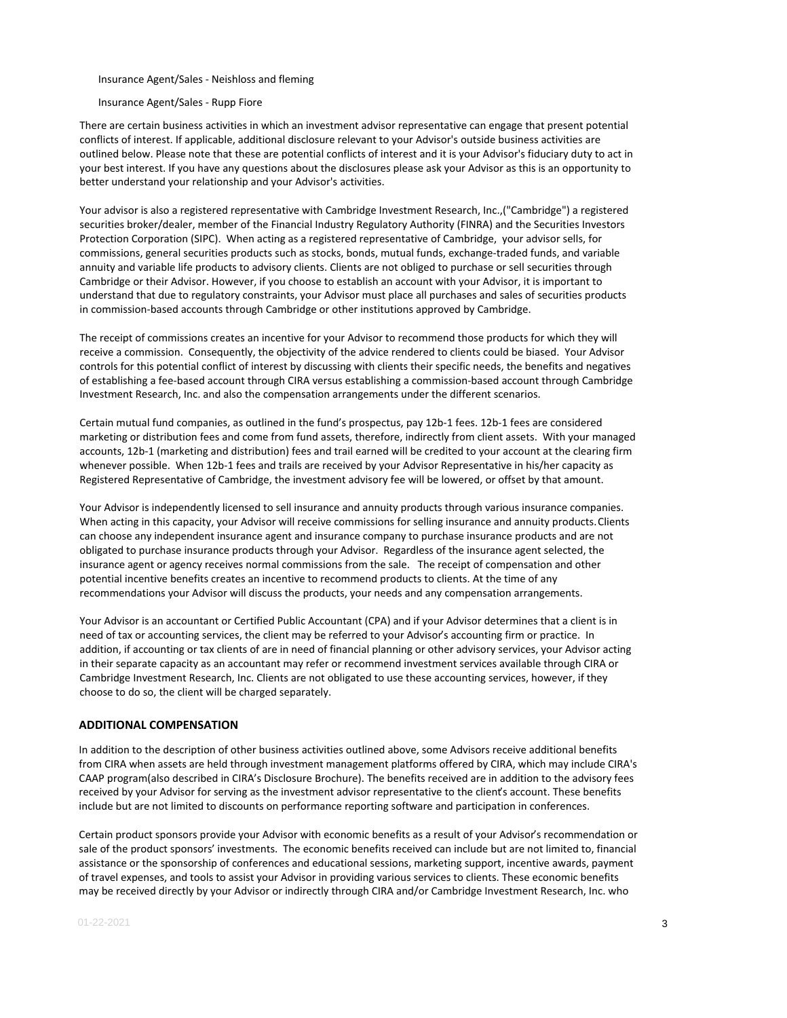Insurance Agent/Sales - Neishloss and fleming

Insurance Agent/Sales - Rupp Fiore

There are certain business activities in which an investment advisor representative can engage that present potential conflicts of interest. If applicable, additional disclosure relevant to your Advisor's outside business activities are outlined below. Please note that these are potential conflicts of interest and it is your Advisor's fiduciary duty to act in your best interest. If you have any questions about the disclosures please ask your Advisor as this is an opportunity to better understand your relationship and your Advisor's activities.

Your advisor is also a registered representative with Cambridge Investment Research, Inc.,("Cambridge") a registered securities broker/dealer, member of the Financial Industry Regulatory Authority (FINRA) and the Securities Investors Protection Corporation (SIPC). When acting as a registered representative of Cambridge, your advisor sells, for commissions, general securities products such as stocks, bonds, mutual funds, exchange-traded funds, and variable annuity and variable life products to advisory clients. Clients are not obliged to purchase or sell securities through Cambridge or their Advisor. However, if you choose to establish an account with your Advisor, it is important to understand that due to regulatory constraints, your Advisor must place all purchases and sales of securities products in commission-based accounts through Cambridge or other institutions approved by Cambridge.

The receipt of commissions creates an incentive for your Advisor to recommend those products for which they will receive a commission. Consequently, the objectivity of the advice rendered to clients could be biased. Your Advisor controls for this potential conflict of interest by discussing with clients their specific needs, the benefits and negatives of establishing a fee-based account through CIRA versus establishing a commission-based account through Cambridge Investment Research, Inc. and also the compensation arrangements under the different scenarios.

Certain mutual fund companies, as outlined in the fund's prospectus, pay 12b-1 fees. 12b-1 fees are considered marketing or distribution fees and come from fund assets, therefore, indirectly from client assets. With your managed accounts, 12b-1 (marketing and distribution) fees and trail earned will be credited to your account at the clearing firm whenever possible. When 12b-1 fees and trails are received by your Advisor Representative in his/her capacity as Registered Representative of Cambridge, the investment advisory fee will be lowered, or offset by that amount.

Your Advisor is independently licensed to sell insurance and annuity products through various insurance companies. When acting in this capacity, your Advisor will receive commissions for selling insurance and annuity products. Clients can choose any independent insurance agent and insurance company to purchase insurance products and are not obligated to purchase insurance products through your Advisor. Regardless of the insurance agent selected, the insurance agent or agency receives normal commissions from the sale. The receipt of compensation and other potential incentive benefits creates an incentive to recommend products to clients. At the time of any recommendations your Advisor will discuss the products, your needs and any compensation arrangements.

Your Advisor is an accountant or Certified Public Accountant (CPA) and if your Advisor determines that a client is in need of tax or accounting services, the client may be referred to your Advisor's accounting firm or practice. In addition, if accounting or tax clients of are in need of financial planning or other advisory services, your Advisor acting in their separate capacity as an accountant may refer or recommend investment services available through CIRA or Cambridge Investment Research, Inc. Clients are not obligated to use these accounting services, however, if they choose to do so, the client will be charged separately.

#### **ADDITIONAL COMPENSATION**

In addition to the description of other business activities outlined above, some Advisors receive additional benefits from CIRA when assets are held through investment management platforms offered by CIRA, which may include CIRA's CAAP program(also described in CIRA's Disclosure Brochure). The benefits received are in addition to the advisory fees received by your Advisor for serving as the investment advisor representative to the client's account. These benefits include but are not limited to discounts on performance reporting software and participation in conferences.

Certain product sponsors provide your Advisor with economic benefits as a result of your Advisor's recommendation or sale of the product sponsors' investments. The economic benefits received can include but are not limited to, financial assistance or the sponsorship of conferences and educational sessions, marketing support, incentive awards, payment of travel expenses, and tools to assist your Advisor in providing various services to clients. These economic benefits may be received directly by your Advisor or indirectly through CIRA and/or Cambridge Investment Research, Inc. who